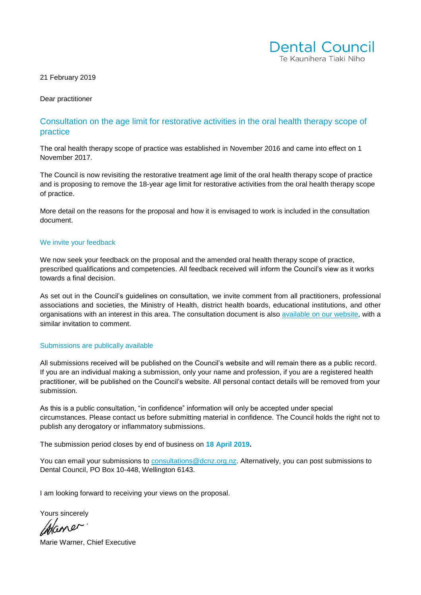

21 February 2019

Dear practitioner

## Consultation on the age limit for restorative activities in the oral health therapy scope of practice

The oral health therapy scope of practice was established in November 2016 and came into effect on 1 November 2017.

The Council is now revisiting the restorative treatment age limit of the oral health therapy scope of practice and is proposing to remove the 18-year age limit for restorative activities from the oral health therapy scope of practice.

More detail on the reasons for the proposal and how it is envisaged to work is included in the consultation document.

#### We invite your feedback

We now seek your feedback on the proposal and the amended oral health therapy scope of practice, prescribed qualifications and competencies. All feedback received will inform the Council's view as it works towards a final decision.

As set out in the Council's guidelines on consultation, we invite comment from all practitioners, professional associations and societies, the Ministry of Health, district health boards, educational institutions, and other organisations with an interest in this area. The consultation document is also [available on our website,](https://dcnz.org.nz/resources-and-publications/publications/current-consultations/) with a similar invitation to comment.

#### Submissions are publically available

All submissions received will be published on the Council's website and will remain there as a public record. If you are an individual making a submission, only your name and profession, if you are a registered health practitioner, will be published on the Council's website. All personal contact details will be removed from your submission.

As this is a public consultation, "in confidence" information will only be accepted under special circumstances. Please contact us before submitting material in confidence. The Council holds the right not to publish any derogatory or inflammatory submissions.

The submission period closes by end of business on **18 April 2019.** 

You can email your submissions to [consultations@dcnz.org.nz.](mailto:consultations@dcnz.org.nz) Alternatively, you can post submissions to Dental Council, PO Box 10-448, Wellington 6143.

I am looking forward to receiving your views on the proposal.

Yours sincerely

Mane

Marie Warner, Chief Executive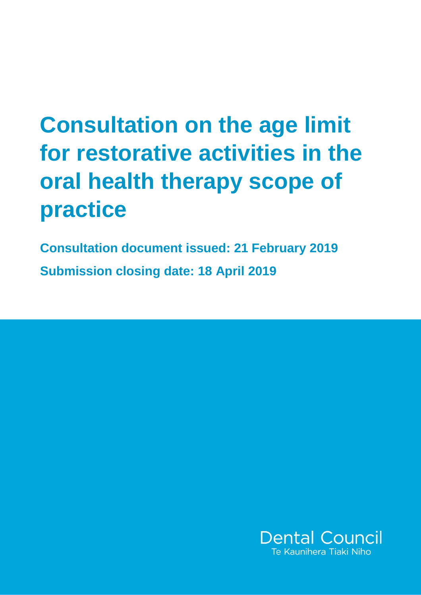# **Consultation on the age limit for restorative activities in the oral health therapy scope of practice**

**Consultation document issued: 21 February 2019 Submission closing date: 18 April 2019**

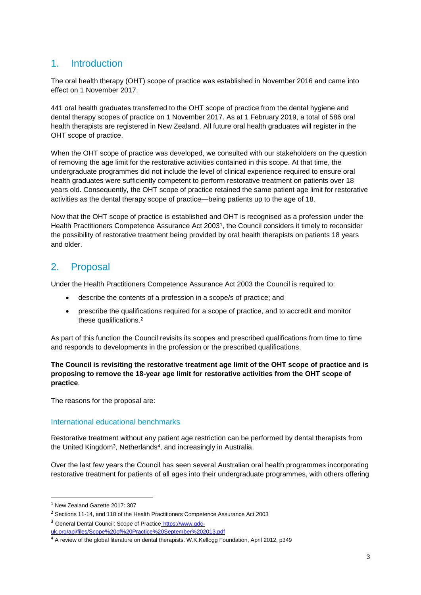# 1. Introduction

The oral health therapy (OHT) scope of practice was established in November 2016 and came into effect on 1 November 2017.

441 oral health graduates transferred to the OHT scope of practice from the dental hygiene and dental therapy scopes of practice on 1 November 2017. As at 1 February 2019, a total of 586 oral health therapists are registered in New Zealand. All future oral health graduates will register in the OHT scope of practice.

When the OHT scope of practice was developed, we consulted with our stakeholders on the question of removing the age limit for the restorative activities contained in this scope. At that time, the undergraduate programmes did not include the level of clinical experience required to ensure oral health graduates were sufficiently competent to perform restorative treatment on patients over 18 years old. Consequently, the OHT scope of practice retained the same patient age limit for restorative activities as the dental therapy scope of practice—being patients up to the age of 18.

Now that the OHT scope of practice is established and OHT is recognised as a profession under the Health Practitioners Competence Assurance Act 2003<sup>1</sup>, the Council considers it timely to reconsider the possibility of restorative treatment being provided by oral health therapists on patients 18 years and older.

# 2. Proposal

Under the Health Practitioners Competence Assurance Act 2003 the Council is required to:

- describe the contents of a profession in a scope/s of practice; and
- prescribe the qualifications required for a scope of practice, and to accredit and monitor these qualifications.<sup>2</sup>

As part of this function the Council revisits its scopes and prescribed qualifications from time to time and responds to developments in the profession or the prescribed qualifications.

#### **The Council is revisiting the restorative treatment age limit of the OHT scope of practice and is proposing to remove the 18-year age limit for restorative activities from the OHT scope of practice**.

The reasons for the proposal are:

## International educational benchmarks

Restorative treatment without any patient age restriction can be performed by dental therapists from the United Kingdom<sup>3</sup>, Netherlands<sup>4</sup>, and increasingly in Australia.

Over the last few years the Council has seen several Australian oral health programmes incorporating restorative treatment for patients of all ages into their undergraduate programmes, with others offering

 $\overline{a}$ 

<sup>1</sup> New Zealand Gazette 2017: 307

<sup>&</sup>lt;sup>2</sup> Sections 11-14, and 118 of the Health Practitioners Competence Assurance Act 2003

<sup>&</sup>lt;sup>3</sup> General Dental Council: Scope of Practice\_[https://www.gdc-](https://www.gdc-uk.org/api/files/Scope%20of%20Practice%20September%202013.pdf)

[uk.org/api/files/Scope%20of%20Practice%20September%202013.pdf](https://www.gdc-uk.org/api/files/Scope%20of%20Practice%20September%202013.pdf)

<sup>&</sup>lt;sup>4</sup> A review of the global literature on dental therapists. W.K.Kellogg Foundation, April 2012, p349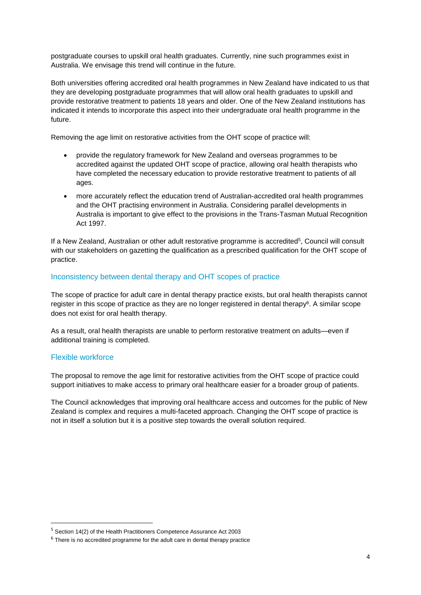postgraduate courses to upskill oral health graduates. Currently, nine such programmes exist in Australia. We envisage this trend will continue in the future.

Both universities offering accredited oral health programmes in New Zealand have indicated to us that they are developing postgraduate programmes that will allow oral health graduates to upskill and provide restorative treatment to patients 18 years and older. One of the New Zealand institutions has indicated it intends to incorporate this aspect into their undergraduate oral health programme in the future.

Removing the age limit on restorative activities from the OHT scope of practice will:

- provide the regulatory framework for New Zealand and overseas programmes to be accredited against the updated OHT scope of practice, allowing oral health therapists who have completed the necessary education to provide restorative treatment to patients of all ages.
- more accurately reflect the education trend of Australian-accredited oral health programmes and the OHT practising environment in Australia. Considering parallel developments in Australia is important to give effect to the provisions in the Trans-Tasman Mutual Recognition Act 1997.

If a New Zealand, Australian or other adult restorative programme is accredited<sup>5</sup>, Council will consult with our stakeholders on gazetting the qualification as a prescribed qualification for the OHT scope of practice.

#### Inconsistency between dental therapy and OHT scopes of practice

The scope of practice for adult care in dental therapy practice exists, but oral health therapists cannot register in this scope of practice as they are no longer registered in dental therapy<sup>6</sup>. A similar scope does not exist for oral health therapy.

As a result, oral health therapists are unable to perform restorative treatment on adults—even if additional training is completed.

#### Flexible workforce

**.** 

The proposal to remove the age limit for restorative activities from the OHT scope of practice could support initiatives to make access to primary oral healthcare easier for a broader group of patients.

The Council acknowledges that improving oral healthcare access and outcomes for the public of New Zealand is complex and requires a multi-faceted approach. Changing the OHT scope of practice is not in itself a solution but it is a positive step towards the overall solution required.

<sup>5</sup> Section 14(2) of the Health Practitioners Competence Assurance Act 2003

 $6$  There is no accredited programme for the adult care in dental therapy practice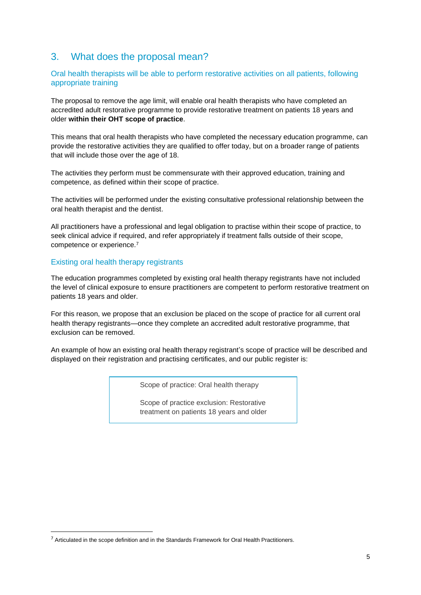# 3. What does the proposal mean?

## Oral health therapists will be able to perform restorative activities on all patients, following appropriate training

The proposal to remove the age limit, will enable oral health therapists who have completed an accredited adult restorative programme to provide restorative treatment on patients 18 years and older **within their OHT scope of practice**.

This means that oral health therapists who have completed the necessary education programme, can provide the restorative activities they are qualified to offer today, but on a broader range of patients that will include those over the age of 18.

The activities they perform must be commensurate with their approved education, training and competence, as defined within their scope of practice.

The activities will be performed under the existing consultative professional relationship between the oral health therapist and the dentist.

All practitioners have a professional and legal obligation to practise within their scope of practice, to seek clinical advice if required, and refer appropriately if treatment falls outside of their scope, competence or experience.<sup>7</sup>

## Existing oral health therapy registrants

**.** 

The education programmes completed by existing oral health therapy registrants have not included the level of clinical exposure to ensure practitioners are competent to perform restorative treatment on patients 18 years and older.

For this reason, we propose that an exclusion be placed on the scope of practice for all current oral health therapy registrants—once they complete an accredited adult restorative programme, that exclusion can be removed.

An example of how an existing oral health therapy registrant's scope of practice will be described and displayed on their registration and practising certificates, and our public register is:

Scope of practice: Oral health therapy

Scope of practice exclusion: Restorative treatment on patients 18 years and older

 $7$  Articulated in the scope definition and in the Standards Framework for Oral Health Practitioners.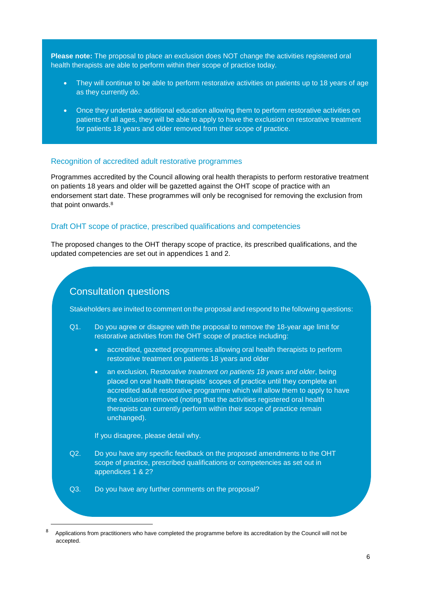**Please note:** The proposal to place an exclusion does NOT change the activities registered oral health therapists are able to perform within their scope of practice today.

- They will continue to be able to perform restorative activities on patients up to 18 years of age as they currently do.
- Once they undertake additional education allowing them to perform restorative activities on patients of all ages, they will be able to apply to have the exclusion on restorative treatment for patients 18 years and older removed from their scope of practice.

#### Recognition of accredited adult restorative programmes

Programmes accredited by the Council allowing oral health therapists to perform restorative treatment on patients 18 years and older will be gazetted against the OHT scope of practice with an endorsement start date. These programmes will only be recognised for removing the exclusion from that point onwards.<sup>8</sup>

#### Draft OHT scope of practice, prescribed qualifications and competencies

The proposed changes to the OHT therapy scope of practice, its prescribed qualifications, and the updated competencies are set out in appendices 1 and 2.

## Consultation questions

Stakeholders are invited to comment on the proposal and respond to the following questions:

- Q1. Do you agree or disagree with the proposal to remove the 18-year age limit for restorative activities from the OHT scope of practice including:
	- accredited, gazetted programmes allowing oral health therapists to perform restorative treatment on patients 18 years and older
	- an exclusion, R*estorative treatment on patients 18 years and older*, being placed on oral health therapists' scopes of practice until they complete an accredited adult restorative programme which will allow them to apply to have the exclusion removed (noting that the activities registered oral health therapists can currently perform within their scope of practice remain unchanged).

If you disagree, please detail why.

**.** 

- Q2. Do you have any specific feedback on the proposed amendments to the OHT scope of practice, prescribed qualifications or competencies as set out in appendices 1 & 2?
- Q3. Do you have any further comments on the proposal?

<sup>8</sup> Applications from practitioners who have completed the programme before its accreditation by the Council will not be accepted.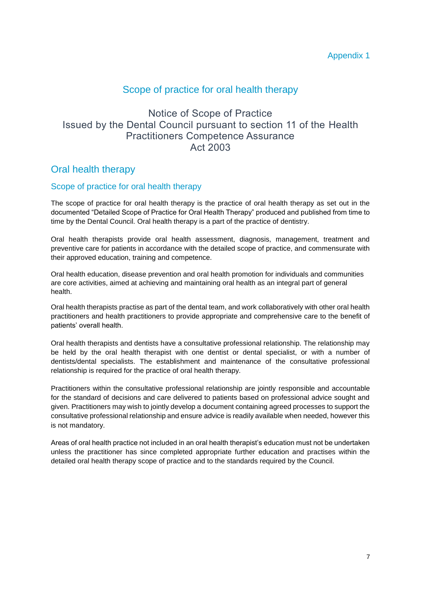## Scope of practice for oral health therapy

# Notice of Scope of Practice Issued by the Dental Council pursuant to section 11 of the Health Practitioners Competence Assurance Act 2003

## Oral health therapy

## Scope of practice for oral health therapy

The scope of practice for oral health therapy is the practice of oral health therapy as set out in the documented "Detailed Scope of Practice for Oral Health Therapy" produced and published from time to time by the Dental Council. Oral health therapy is a part of the practice of dentistry.

Oral health therapists provide oral health assessment, diagnosis, management, treatment and preventive care for patients in accordance with the detailed scope of practice, and commensurate with their approved education, training and competence.

Oral health education, disease prevention and oral health promotion for individuals and communities are core activities, aimed at achieving and maintaining oral health as an integral part of general health.

Oral health therapists practise as part of the dental team, and work collaboratively with other oral health practitioners and health practitioners to provide appropriate and comprehensive care to the benefit of patients' overall health.

Oral health therapists and dentists have a consultative professional relationship. The relationship may be held by the oral health therapist with one dentist or dental specialist, or with a number of dentists/dental specialists. The establishment and maintenance of the consultative professional relationship is required for the practice of oral health therapy.

Practitioners within the consultative professional relationship are jointly responsible and accountable for the standard of decisions and care delivered to patients based on professional advice sought and given. Practitioners may wish to jointly develop a document containing agreed processes to support the consultative professional relationship and ensure advice is readily available when needed, however this is not mandatory.

Areas of oral health practice not included in an oral health therapist's education must not be undertaken unless the practitioner has since completed appropriate further education and practises within the detailed oral health therapy scope of practice and to the standards required by the Council.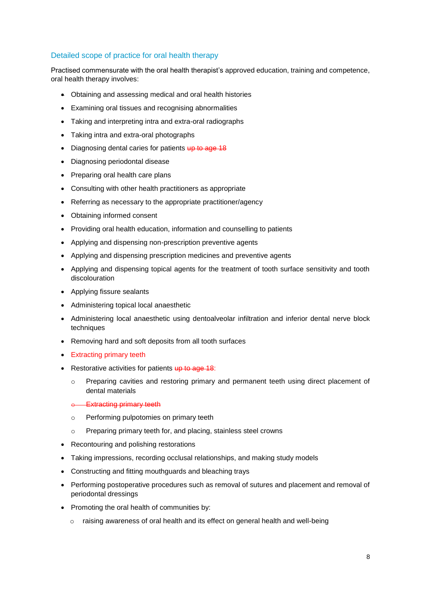## Detailed scope of practice for oral health therapy

Practised commensurate with the oral health therapist's approved education, training and competence, oral health therapy involves:

- Obtaining and assessing medical and oral health histories
- Examining oral tissues and recognising abnormalities
- Taking and interpreting intra and extra-oral radiographs
- Taking intra and extra-oral photographs
- Diagnosing dental caries for patients up to age 18
- Diagnosing periodontal disease
- Preparing oral health care plans
- Consulting with other health practitioners as appropriate
- Referring as necessary to the appropriate practitioner/agency
- Obtaining informed consent
- Providing oral health education, information and counselling to patients
- Applying and dispensing non-prescription preventive agents
- Applying and dispensing prescription medicines and preventive agents
- Applying and dispensing topical agents for the treatment of tooth surface sensitivity and tooth discolouration
- Applying fissure sealants
- Administering topical local anaesthetic
- Administering local anaesthetic using dentoalveolar infiltration and inferior dental nerve block techniques
- Removing hard and soft deposits from all tooth surfaces
- Extracting primary teeth
- Restorative activities for patients up to age 18:
	- o Preparing cavities and restoring primary and permanent teeth using direct placement of dental materials
	- **Extracting primary teeth**
	- o Performing pulpotomies on primary teeth
	- o Preparing primary teeth for, and placing, stainless steel crowns
- Recontouring and polishing restorations
- Taking impressions, recording occlusal relationships, and making study models
- Constructing and fitting mouthguards and bleaching trays
- Performing postoperative procedures such as removal of sutures and placement and removal of periodontal dressings
- Promoting the oral health of communities by:
	- $\circ$  raising awareness of oral health and its effect on general health and well-being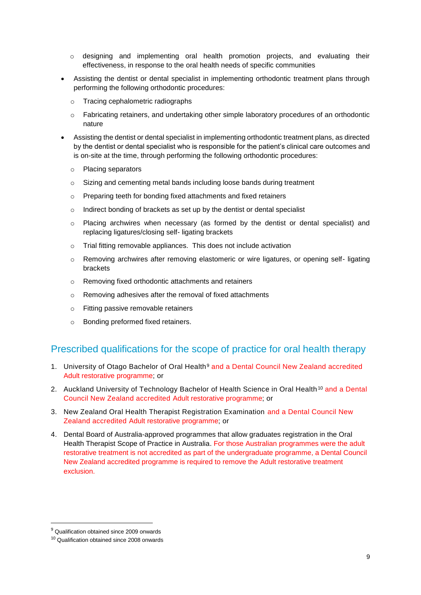- $\circ$  designing and implementing oral health promotion projects, and evaluating their effectiveness, in response to the oral health needs of specific communities
- Assisting the dentist or dental specialist in implementing orthodontic treatment plans through performing the following orthodontic procedures:
	- o Tracing cephalometric radiographs
	- $\circ$  Fabricating retainers, and undertaking other simple laboratory procedures of an orthodontic nature
- Assisting the dentist or dental specialist in implementing orthodontic treatment plans, as directed by the dentist or dental specialist who is responsible for the patient's clinical care outcomes and is on-site at the time, through performing the following orthodontic procedures:
	- o Placing separators
	- $\circ$  Sizing and cementing metal bands including loose bands during treatment
	- o Preparing teeth for bonding fixed attachments and fixed retainers
	- o Indirect bonding of brackets as set up by the dentist or dental specialist
	- o Placing archwires when necessary (as formed by the dentist or dental specialist) and replacing ligatures/closing self- ligating brackets
	- o Trial fitting removable appliances. This does not include activation
	- o Removing archwires after removing elastomeric or wire ligatures, or opening self- ligating brackets
	- o Removing fixed orthodontic attachments and retainers
	- o Removing adhesives after the removal of fixed attachments
	- o Fitting passive removable retainers
	- o Bonding preformed fixed retainers.

## Prescribed qualifications for the scope of practice for oral health therapy

- 1. University of Otago Bachelor of Oral Health<sup>9</sup> and a Dental Council New Zealand accredited Adult restorative programme; or
- 2. Auckland University of Technology Bachelor of Health Science in Oral Health<sup>10</sup> and a Dental Council New Zealand accredited Adult restorative programme; or
- 3. New Zealand Oral Health Therapist Registration Examination and a Dental Council New Zealand accredited Adult restorative programme; or
- 4. Dental Board of Australia-approved programmes that allow graduates registration in the Oral Health Therapist Scope of Practice in Australia. For those Australian programmes were the adult restorative treatment is not accredited as part of the undergraduate programme, a Dental Council New Zealand accredited programme is required to remove the Adult restorative treatment exclusion.

**.** 

<sup>&</sup>lt;sup>9</sup> Qualification obtained since 2009 onwards

<sup>10</sup> Qualification obtained since 2008 onwards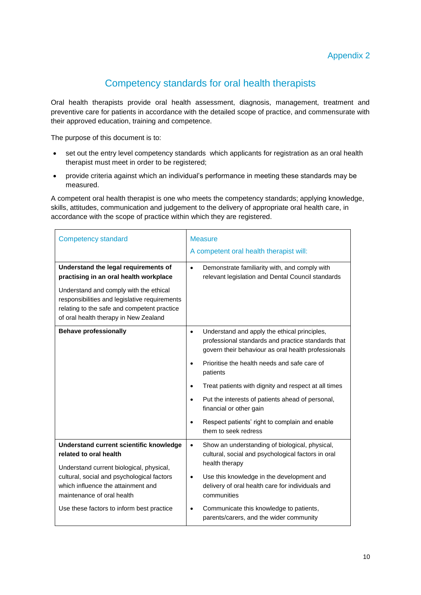# Competency standards for oral health therapists

Oral health therapists provide oral health assessment, diagnosis, management, treatment and preventive care for patients in accordance with the detailed scope of practice, and commensurate with their approved education, training and competence.

The purpose of this document is to:

- set out the entry level competency standards which applicants for registration as an oral health therapist must meet in order to be registered;
- provide criteria against which an individual's performance in meeting these standards may be measured.

A competent oral health therapist is one who meets the competency standards; applying knowledge, skills, attitudes, communication and judgement to the delivery of appropriate oral health care, in accordance with the scope of practice within which they are registered.

| <b>Competency standard</b>                                                                                                                                                                                                      | <b>Measure</b>                                                                                                                                                         |
|---------------------------------------------------------------------------------------------------------------------------------------------------------------------------------------------------------------------------------|------------------------------------------------------------------------------------------------------------------------------------------------------------------------|
|                                                                                                                                                                                                                                 | A competent oral health therapist will:                                                                                                                                |
| Understand the legal requirements of<br>practising in an oral health workplace                                                                                                                                                  | Demonstrate familiarity with, and comply with<br>$\bullet$<br>relevant legislation and Dental Council standards                                                        |
| Understand and comply with the ethical<br>responsibilities and legislative requirements<br>relating to the safe and competent practice<br>of oral health therapy in New Zealand                                                 |                                                                                                                                                                        |
| <b>Behave professionally</b>                                                                                                                                                                                                    | Understand and apply the ethical principles,<br>$\bullet$<br>professional standards and practice standards that<br>govern their behaviour as oral health professionals |
|                                                                                                                                                                                                                                 | Prioritise the health needs and safe care of<br>patients                                                                                                               |
|                                                                                                                                                                                                                                 | Treat patients with dignity and respect at all times<br>$\bullet$                                                                                                      |
|                                                                                                                                                                                                                                 | Put the interests of patients ahead of personal,<br>$\bullet$<br>financial or other gain                                                                               |
|                                                                                                                                                                                                                                 | Respect patients' right to complain and enable<br>$\bullet$<br>them to seek redress                                                                                    |
| Understand current scientific knowledge<br>related to oral health<br>Understand current biological, physical,<br>cultural, social and psychological factors<br>which influence the attainment and<br>maintenance of oral health | Show an understanding of biological, physical,<br>$\bullet$<br>cultural, social and psychological factors in oral<br>health therapy                                    |
|                                                                                                                                                                                                                                 | Use this knowledge in the development and<br>$\bullet$<br>delivery of oral health care for individuals and<br>communities                                              |
| Use these factors to inform best practice                                                                                                                                                                                       | Communicate this knowledge to patients,<br>$\bullet$<br>parents/carers, and the wider community                                                                        |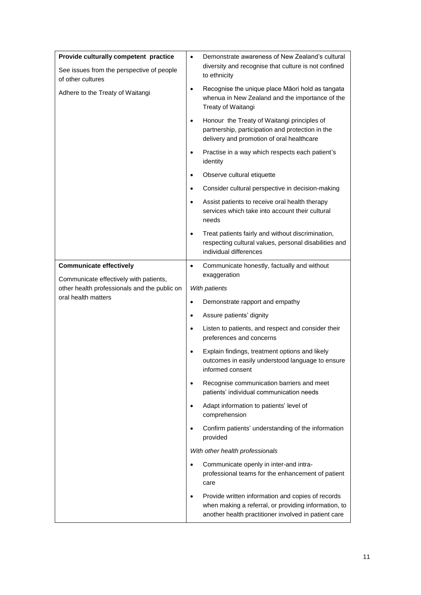| Provide culturally competent practice                               | $\bullet$ | Demonstrate awareness of New Zealand's cultural                                                                                                                   |
|---------------------------------------------------------------------|-----------|-------------------------------------------------------------------------------------------------------------------------------------------------------------------|
| See issues from the perspective of people<br>of other cultures      |           | diversity and recognise that culture is not confined<br>to ethnicity                                                                                              |
| Adhere to the Treaty of Waitangi                                    | ٠         | Recognise the unique place Māori hold as tangata<br>whenua in New Zealand and the importance of the<br>Treaty of Waitangi                                         |
|                                                                     | $\bullet$ | Honour the Treaty of Waitangi principles of<br>partnership, participation and protection in the<br>delivery and promotion of oral healthcare                      |
|                                                                     | ٠         | Practise in a way which respects each patient's<br>identity                                                                                                       |
|                                                                     | ٠         | Observe cultural etiquette                                                                                                                                        |
|                                                                     | ٠         | Consider cultural perspective in decision-making                                                                                                                  |
|                                                                     | $\bullet$ | Assist patients to receive oral health therapy<br>services which take into account their cultural<br>needs                                                        |
|                                                                     | ٠         | Treat patients fairly and without discrimination,<br>respecting cultural values, personal disabilities and<br>individual differences                              |
| <b>Communicate effectively</b>                                      | $\bullet$ | Communicate honestly, factually and without                                                                                                                       |
| Communicate effectively with patients,                              |           | exaggeration                                                                                                                                                      |
| other health professionals and the public on<br>oral health matters |           | With patients                                                                                                                                                     |
|                                                                     | $\bullet$ | Demonstrate rapport and empathy                                                                                                                                   |
|                                                                     | ٠         | Assure patients' dignity                                                                                                                                          |
|                                                                     | $\bullet$ | Listen to patients, and respect and consider their<br>preferences and concerns                                                                                    |
|                                                                     | ٠         | Explain findings, treatment options and likely<br>outcomes in easily understood language to ensure<br>informed consent                                            |
|                                                                     | ٠         | Recognise communication barriers and meet<br>patients' individual communication needs                                                                             |
|                                                                     | $\bullet$ | Adapt information to patients' level of<br>comprehension                                                                                                          |
|                                                                     | $\bullet$ | Confirm patients' understanding of the information<br>provided                                                                                                    |
|                                                                     |           | With other health professionals                                                                                                                                   |
|                                                                     | $\bullet$ | Communicate openly in inter-and intra-<br>professional teams for the enhancement of patient<br>care                                                               |
|                                                                     | $\bullet$ | Provide written information and copies of records<br>when making a referral, or providing information, to<br>another health practitioner involved in patient care |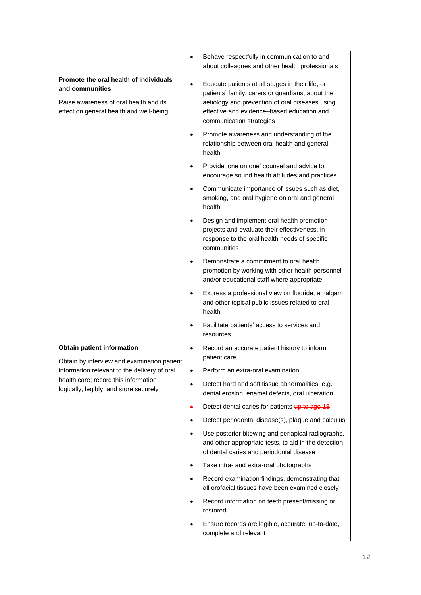|                                                                                                                                                                                                             | $\bullet$ | Behave respectfully in communication to and<br>about colleagues and other health professionals                                                                                                                                    |
|-------------------------------------------------------------------------------------------------------------------------------------------------------------------------------------------------------------|-----------|-----------------------------------------------------------------------------------------------------------------------------------------------------------------------------------------------------------------------------------|
| Promote the oral health of individuals<br>and communities<br>Raise awareness of oral health and its<br>effect on general health and well-being                                                              | $\bullet$ | Educate patients at all stages in their life, or<br>patients' family, carers or guardians, about the<br>aetiology and prevention of oral diseases using<br>effective and evidence-based education and<br>communication strategies |
|                                                                                                                                                                                                             | $\bullet$ | Promote awareness and understanding of the<br>relationship between oral health and general<br>health                                                                                                                              |
|                                                                                                                                                                                                             | $\bullet$ | Provide 'one on one' counsel and advice to<br>encourage sound health attitudes and practices                                                                                                                                      |
|                                                                                                                                                                                                             | $\bullet$ | Communicate importance of issues such as diet,<br>smoking, and oral hygiene on oral and general<br>health                                                                                                                         |
|                                                                                                                                                                                                             | $\bullet$ | Design and implement oral health promotion<br>projects and evaluate their effectiveness, in<br>response to the oral health needs of specific<br>communities                                                                       |
|                                                                                                                                                                                                             |           | Demonstrate a commitment to oral health<br>promotion by working with other health personnel<br>and/or educational staff where appropriate                                                                                         |
|                                                                                                                                                                                                             | $\bullet$ | Express a professional view on fluoride, amalgam<br>and other topical public issues related to oral<br>health                                                                                                                     |
|                                                                                                                                                                                                             |           | Facilitate patients' access to services and<br>resources                                                                                                                                                                          |
| Obtain patient information<br>Obtain by interview and examination patient<br>information relevant to the delivery of oral<br>health care; record this information<br>logically, legibly; and store securely | $\bullet$ | Record an accurate patient history to inform<br>patient care                                                                                                                                                                      |
|                                                                                                                                                                                                             | $\bullet$ | Perform an extra-oral examination                                                                                                                                                                                                 |
|                                                                                                                                                                                                             | $\bullet$ | Detect hard and soft tissue abnormalities, e.g.<br>dental erosion, enamel defects, oral ulceration                                                                                                                                |
|                                                                                                                                                                                                             | ٠         | Detect dental caries for patients up to age 18                                                                                                                                                                                    |
|                                                                                                                                                                                                             | $\bullet$ | Detect periodontal disease(s), plaque and calculus                                                                                                                                                                                |
|                                                                                                                                                                                                             | $\bullet$ | Use posterior bitewing and periapical radiographs,<br>and other appropriate tests, to aid in the detection<br>of dental caries and periodontal disease                                                                            |
|                                                                                                                                                                                                             | $\bullet$ | Take intra- and extra-oral photographs                                                                                                                                                                                            |
|                                                                                                                                                                                                             | $\bullet$ | Record examination findings, demonstrating that<br>all orofacial tissues have been examined closely                                                                                                                               |
|                                                                                                                                                                                                             | $\bullet$ | Record information on teeth present/missing or<br>restored                                                                                                                                                                        |
|                                                                                                                                                                                                             | ٠         | Ensure records are legible, accurate, up-to-date,<br>complete and relevant                                                                                                                                                        |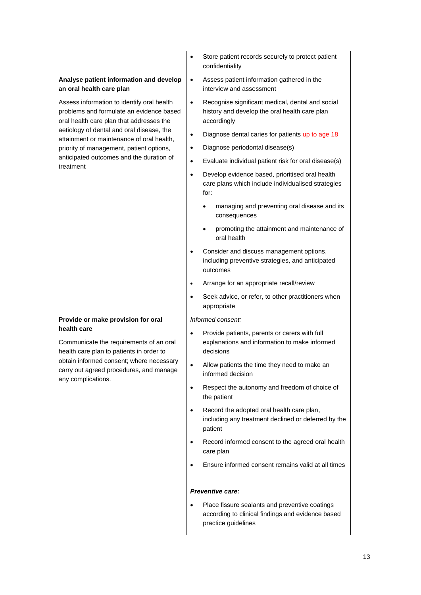|                                                                                                                                                                                                                 | $\bullet$ | Store patient records securely to protect patient<br>confidentiality                                                       |
|-----------------------------------------------------------------------------------------------------------------------------------------------------------------------------------------------------------------|-----------|----------------------------------------------------------------------------------------------------------------------------|
| Analyse patient information and develop<br>an oral health care plan                                                                                                                                             | $\bullet$ | Assess patient information gathered in the<br>interview and assessment                                                     |
| Assess information to identify oral health<br>problems and formulate an evidence based<br>oral health care plan that addresses the                                                                              | $\bullet$ | Recognise significant medical, dental and social<br>history and develop the oral health care plan<br>accordingly           |
| aetiology of dental and oral disease, the<br>attainment or maintenance of oral health,                                                                                                                          | $\bullet$ | Diagnose dental caries for patients up to age 18                                                                           |
| priority of management, patient options,                                                                                                                                                                        | $\bullet$ | Diagnose periodontal disease(s)                                                                                            |
| anticipated outcomes and the duration of                                                                                                                                                                        | $\bullet$ | Evaluate individual patient risk for oral disease(s)                                                                       |
| treatment                                                                                                                                                                                                       | $\bullet$ | Develop evidence based, prioritised oral health<br>care plans which include individualised strategies<br>for:              |
|                                                                                                                                                                                                                 |           | managing and preventing oral disease and its<br>consequences                                                               |
|                                                                                                                                                                                                                 |           | promoting the attainment and maintenance of<br>oral health                                                                 |
|                                                                                                                                                                                                                 | $\bullet$ | Consider and discuss management options,<br>including preventive strategies, and anticipated<br>outcomes                   |
|                                                                                                                                                                                                                 | $\bullet$ | Arrange for an appropriate recall/review                                                                                   |
|                                                                                                                                                                                                                 | $\bullet$ | Seek advice, or refer, to other practitioners when<br>appropriate                                                          |
| Provide or make provision for oral                                                                                                                                                                              |           | Informed consent:                                                                                                          |
| health care<br>Communicate the requirements of an oral<br>health care plan to patients in order to<br>obtain informed consent; where necessary<br>carry out agreed procedures, and manage<br>any complications. | $\bullet$ | Provide patients, parents or carers with full<br>explanations and information to make informed<br>decisions                |
|                                                                                                                                                                                                                 | ٠         | Allow patients the time they need to make an<br>informed decision                                                          |
|                                                                                                                                                                                                                 | $\bullet$ | Respect the autonomy and freedom of choice of<br>the patient                                                               |
|                                                                                                                                                                                                                 | $\bullet$ | Record the adopted oral health care plan,<br>including any treatment declined or deferred by the<br>patient                |
|                                                                                                                                                                                                                 | $\bullet$ | Record informed consent to the agreed oral health<br>care plan                                                             |
|                                                                                                                                                                                                                 | $\bullet$ | Ensure informed consent remains valid at all times                                                                         |
|                                                                                                                                                                                                                 |           | Preventive care:                                                                                                           |
|                                                                                                                                                                                                                 | $\bullet$ | Place fissure sealants and preventive coatings<br>according to clinical findings and evidence based<br>practice guidelines |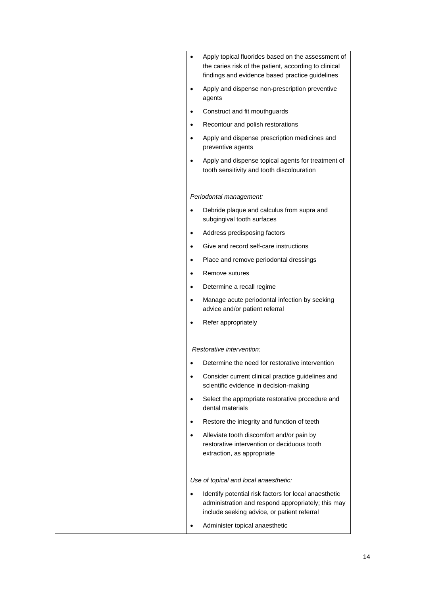| Apply topical fluorides based on the assessment of<br>$\bullet$<br>the caries risk of the patient, according to clinical<br>findings and evidence based practice guidelines |
|-----------------------------------------------------------------------------------------------------------------------------------------------------------------------------|
| Apply and dispense non-prescription preventive<br>$\bullet$<br>agents                                                                                                       |
| Construct and fit mouthguards<br>$\bullet$                                                                                                                                  |
| Recontour and polish restorations<br>$\bullet$                                                                                                                              |
| Apply and dispense prescription medicines and<br>$\bullet$<br>preventive agents                                                                                             |
| Apply and dispense topical agents for treatment of<br>$\bullet$<br>tooth sensitivity and tooth discolouration                                                               |
| Periodontal management:                                                                                                                                                     |
| Debride plaque and calculus from supra and<br>$\bullet$<br>subgingival tooth surfaces                                                                                       |
| Address predisposing factors<br>$\bullet$                                                                                                                                   |
| Give and record self-care instructions                                                                                                                                      |
| Place and remove periodontal dressings<br>$\bullet$                                                                                                                         |
| Remove sutures<br>$\bullet$                                                                                                                                                 |
| Determine a recall regime<br>$\bullet$                                                                                                                                      |
| Manage acute periodontal infection by seeking<br>$\bullet$<br>advice and/or patient referral                                                                                |
| Refer appropriately                                                                                                                                                         |
| Restorative intervention:                                                                                                                                                   |
| Determine the need for restorative intervention                                                                                                                             |
| Consider current clinical practice guidelines and<br>$\bullet$<br>scientific evidence in decision-making                                                                    |
| Select the appropriate restorative procedure and<br>$\bullet$<br>dental materials                                                                                           |
| Restore the integrity and function of teeth<br>$\bullet$                                                                                                                    |
| Alleviate tooth discomfort and/or pain by<br>$\bullet$<br>restorative intervention or deciduous tooth<br>extraction, as appropriate                                         |
| Use of topical and local anaesthetic:                                                                                                                                       |
| Identify potential risk factors for local anaesthetic<br>$\bullet$<br>administration and respond appropriately; this may<br>include seeking advice, or patient referral     |
| Administer topical anaesthetic                                                                                                                                              |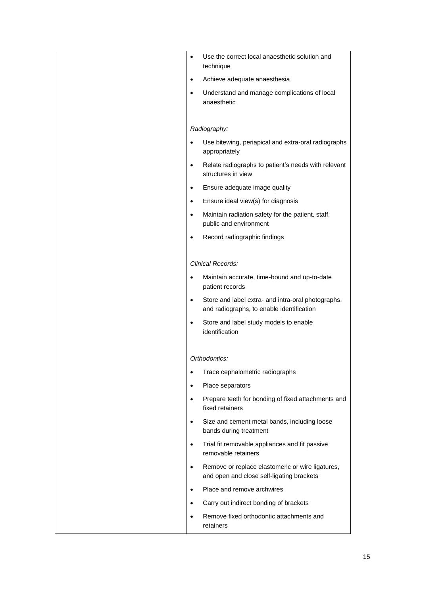| Use the correct local anaesthetic solution and<br>$\bullet$<br>technique                                     |
|--------------------------------------------------------------------------------------------------------------|
| Achieve adequate anaesthesia<br>$\bullet$                                                                    |
| Understand and manage complications of local<br>$\bullet$<br>anaesthetic                                     |
| Radiography:                                                                                                 |
| Use bitewing, periapical and extra-oral radiographs<br>$\bullet$<br>appropriately                            |
| Relate radiographs to patient's needs with relevant<br>$\bullet$<br>structures in view                       |
| Ensure adequate image quality<br>$\bullet$                                                                   |
| Ensure ideal view(s) for diagnosis<br>$\bullet$                                                              |
| Maintain radiation safety for the patient, staff,<br>$\bullet$<br>public and environment                     |
| Record radiographic findings<br>$\bullet$                                                                    |
| Clinical Records:                                                                                            |
| Maintain accurate, time-bound and up-to-date<br>$\bullet$<br>patient records                                 |
| Store and label extra- and intra-oral photographs,<br>$\bullet$<br>and radiographs, to enable identification |
| Store and label study models to enable<br>$\bullet$<br>identification                                        |
|                                                                                                              |
| Orthodontics:                                                                                                |
| Trace cephalometric radiographs<br>$\bullet$                                                                 |
| Place separators<br>$\bullet$                                                                                |
| Prepare teeth for bonding of fixed attachments and<br>$\bullet$<br>fixed retainers                           |
| Size and cement metal bands, including loose<br>$\bullet$<br>bands during treatment                          |
| Trial fit removable appliances and fit passive<br>$\bullet$<br>removable retainers                           |
| Remove or replace elastomeric or wire ligatures,<br>$\bullet$<br>and open and close self-ligating brackets   |
| Place and remove archwires<br>$\bullet$                                                                      |
| Carry out indirect bonding of brackets<br>٠                                                                  |
| Remove fixed orthodontic attachments and<br>$\bullet$<br>retainers                                           |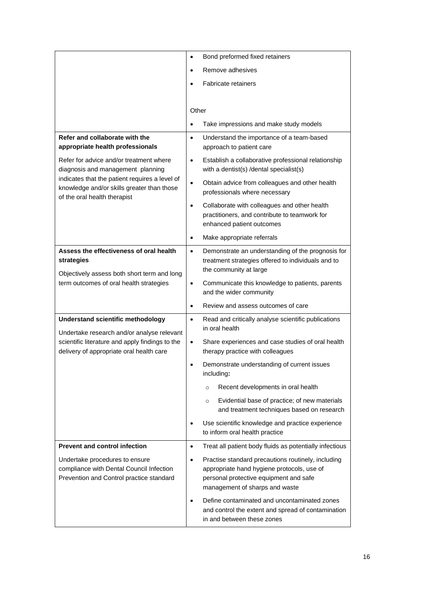|                                                                                                                                                                                                              | Bond preformed fixed retainers<br>$\bullet$                                                                                                                                               |
|--------------------------------------------------------------------------------------------------------------------------------------------------------------------------------------------------------------|-------------------------------------------------------------------------------------------------------------------------------------------------------------------------------------------|
|                                                                                                                                                                                                              | Remove adhesives<br>$\bullet$                                                                                                                                                             |
|                                                                                                                                                                                                              | <b>Fabricate retainers</b>                                                                                                                                                                |
|                                                                                                                                                                                                              |                                                                                                                                                                                           |
|                                                                                                                                                                                                              | Other                                                                                                                                                                                     |
|                                                                                                                                                                                                              | Take impressions and make study models<br>$\bullet$                                                                                                                                       |
| Refer and collaborate with the<br>appropriate health professionals                                                                                                                                           | Understand the importance of a team-based<br>$\bullet$<br>approach to patient care                                                                                                        |
| Refer for advice and/or treatment where<br>diagnosis and management planning<br>indicates that the patient requires a level of<br>knowledge and/or skills greater than those<br>of the oral health therapist | Establish a collaborative professional relationship<br>$\bullet$<br>with a dentist(s) /dental specialist(s)                                                                               |
|                                                                                                                                                                                                              | Obtain advice from colleagues and other health<br>$\bullet$<br>professionals where necessary                                                                                              |
|                                                                                                                                                                                                              | Collaborate with colleagues and other health<br>$\bullet$<br>practitioners, and contribute to teamwork for<br>enhanced patient outcomes                                                   |
|                                                                                                                                                                                                              | Make appropriate referrals<br>$\bullet$                                                                                                                                                   |
| Assess the effectiveness of oral health<br>strategies<br>Objectively assess both short term and long<br>term outcomes of oral health strategies                                                              | Demonstrate an understanding of the prognosis for<br>$\bullet$<br>treatment strategies offered to individuals and to<br>the community at large                                            |
|                                                                                                                                                                                                              | Communicate this knowledge to patients, parents<br>$\bullet$<br>and the wider community                                                                                                   |
|                                                                                                                                                                                                              | Review and assess outcomes of care<br>$\bullet$                                                                                                                                           |
| Understand scientific methodology<br>Undertake research and/or analyse relevant<br>scientific literature and apply findings to the<br>delivery of appropriate oral health care                               | Read and critically analyse scientific publications<br>$\bullet$<br>in oral health                                                                                                        |
|                                                                                                                                                                                                              | Share experiences and case studies of oral health<br>$\bullet$<br>therapy practice with colleagues                                                                                        |
|                                                                                                                                                                                                              | Demonstrate understanding of current issues<br>including:                                                                                                                                 |
|                                                                                                                                                                                                              | Recent developments in oral health<br>$\circ$                                                                                                                                             |
|                                                                                                                                                                                                              | Evidential base of practice; of new materials<br>$\circ$<br>and treatment techniques based on research                                                                                    |
|                                                                                                                                                                                                              | Use scientific knowledge and practice experience<br>٠<br>to inform oral health practice                                                                                                   |
| <b>Prevent and control infection</b>                                                                                                                                                                         | Treat all patient body fluids as potentially infectious<br>$\bullet$                                                                                                                      |
| Undertake procedures to ensure<br>compliance with Dental Council Infection<br>Prevention and Control practice standard                                                                                       | Practise standard precautions routinely, including<br>$\bullet$<br>appropriate hand hygiene protocols, use of<br>personal protective equipment and safe<br>management of sharps and waste |
|                                                                                                                                                                                                              | Define contaminated and uncontaminated zones<br>$\bullet$<br>and control the extent and spread of contamination<br>in and between these zones                                             |